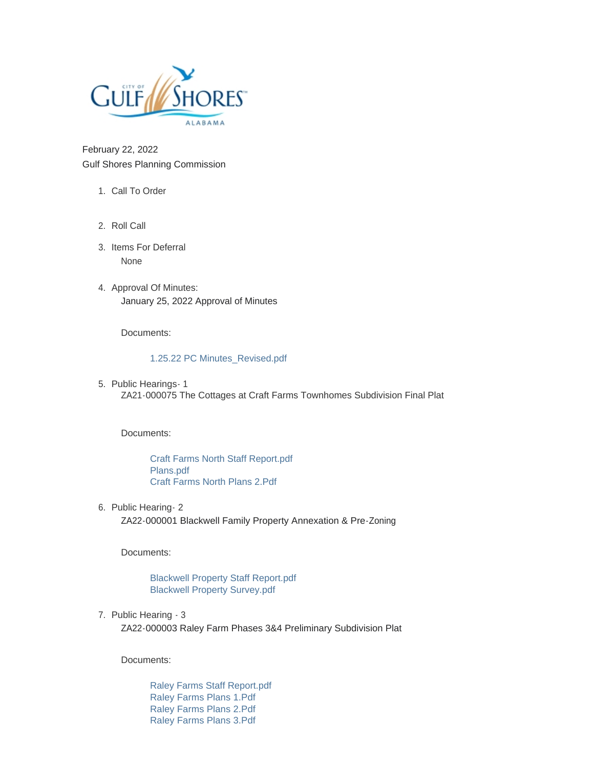

February 22, 2022 Gulf Shores Planning Commission

- 1. Call To Order
- 2. Roll Call
- 3. Items For Deferral None
- 4. Approval Of Minutes: January 25, 2022 Approval of Minutes

Documents:

## [1.25.22 PC Minutes\\_Revised.pdf](https://www.gulfshoresal.gov/AgendaCenter/ViewFile/Item/9776?fileID=20910)

5. Public Hearings - 1 ZA21-000075 The Cottages at Craft Farms Townhomes Subdivision Final Plat

Documents:

[Craft Farms North Staff Report.pdf](https://www.gulfshoresal.gov/AgendaCenter/ViewFile/Item/9780?fileID=20930) [Plans.pdf](https://www.gulfshoresal.gov/AgendaCenter/ViewFile/Item/9780?fileID=20931) [Craft Farms North Plans 2.Pdf](https://www.gulfshoresal.gov/AgendaCenter/ViewFile/Item/9780?fileID=20932)

6. Public Hearing- 2

ZA22-000001 Blackwell Family Property Annexation & Pre-Zoning

Documents:

[Blackwell Property Staff Report.pdf](https://www.gulfshoresal.gov/AgendaCenter/ViewFile/Item/9777?fileID=20911) [Blackwell Property Survey.pdf](https://www.gulfshoresal.gov/AgendaCenter/ViewFile/Item/9777?fileID=20912)

7. Public Hearing - 3

ZA22-000003 Raley Farm Phases 3&4 Preliminary Subdivision Plat

Documents:

[Raley Farms Staff Report.pdf](https://www.gulfshoresal.gov/AgendaCenter/ViewFile/Item/9778?fileID=20913) [Raley Farms Plans 1.Pdf](https://www.gulfshoresal.gov/AgendaCenter/ViewFile/Item/9778?fileID=20914) [Raley Farms Plans 2.Pdf](https://www.gulfshoresal.gov/AgendaCenter/ViewFile/Item/9778?fileID=20915) [Raley Farms Plans 3.Pdf](https://www.gulfshoresal.gov/AgendaCenter/ViewFile/Item/9778?fileID=20916)